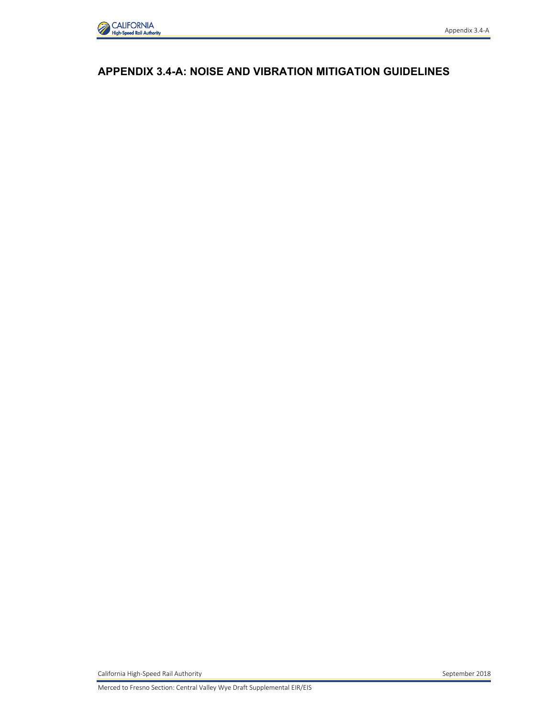

### **APPENDIX 3.4-A: NOISE AND VIBRATION MITIGATION GUIDELINES**

Appendix 3.4-A

California High-Speed Rail Authority **September 2018** September 2018

Merced to Fresno Section: Central Valley Wye Draft Supplemental EIR/EIS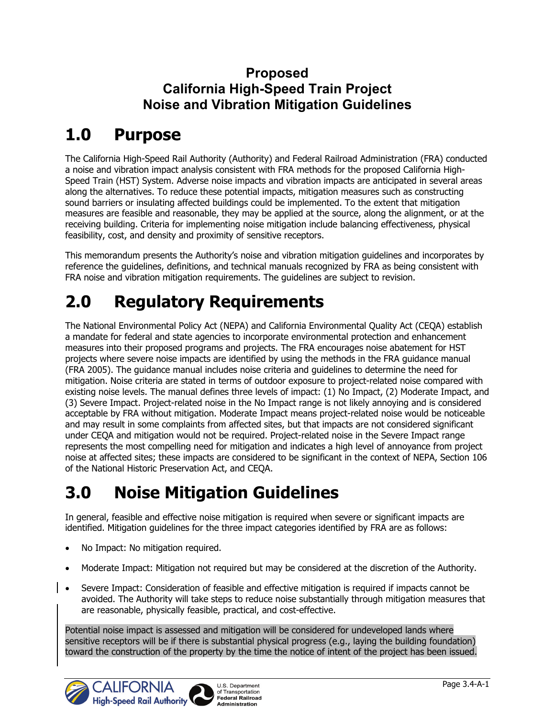## **Proposed California High-Speed Train Project Noise and Vibration Mitigation Guidelines**

# **1.0 Purpose**

The California High-Speed Rail Authority (Authority) and Federal Railroad Administration (FRA) conducted a noise and vibration impact analysis consistent with FRA methods for the proposed California High-Speed Train (HST) System. Adverse noise impacts and vibration impacts are anticipated in several areas along the alternatives. To reduce these potential impacts, mitigation measures such as constructing sound barriers or insulating affected buildings could be implemented. To the extent that mitigation measures are feasible and reasonable, they may be applied at the source, along the alignment, or at the receiving building. Criteria for implementing noise mitigation include balancing effectiveness, physical feasibility, cost, and density and proximity of sensitive receptors.

This memorandum presents the Authority's noise and vibration mitigation guidelines and incorporates by reference the guidelines, definitions, and technical manuals recognized by FRA as being consistent with FRA noise and vibration mitigation requirements. The guidelines are subject to revision.

# **2.0 Regulatory Requirements**

The National Environmental Policy Act (NEPA) and California Environmental Quality Act (CEQA) establish a mandate for federal and state agencies to incorporate environmental protection and enhancement measures into their proposed programs and projects. The FRA encourages noise abatement for HST projects where severe noise impacts are identified by using the methods in the FRA guidance manual (FRA 2005). The guidance manual includes noise criteria and guidelines to determine the need for mitigation. Noise criteria are stated in terms of outdoor exposure to project-related noise compared with existing noise levels. The manual defines three levels of impact: (1) No Impact, (2) Moderate Impact, and (3) Severe Impact. Project-related noise in the No Impact range is not likely annoying and is considered acceptable by FRA without mitigation. Moderate Impact means project-related noise would be noticeable and may result in some complaints from affected sites, but that impacts are not considered significant under CEQA and mitigation would not be required. Project-related noise in the Severe Impact range represents the most compelling need for mitigation and indicates a high level of annoyance from project noise at affected sites; these impacts are considered to be significant in the context of NEPA, Section 106 of the National Historic Preservation Act, and CEQA.

# **3.0 Noise Mitigation Guidelines**

In general, feasible and effective noise mitigation is required when severe or significant impacts are identified. Mitigation guidelines for the three impact categories identified by FRA are as follows:

- No Impact: No mitigation required.
- Moderate Impact: Mitigation not required but may be considered at the discretion of the Authority.
- Severe Impact: Consideration of feasible and effective mitigation is required if impacts cannot be avoided. The Authority will take steps to reduce noise substantially through mitigation measures that are reasonable, physically feasible, practical, and cost-effective.

Potential noise impact is assessed and mitigation will be considered for undeveloped lands where sensitive receptors will be if there is substantial physical progress (e.g., laying the building foundation) toward the construction of the property by the time the notice of intent of the project has been issued.

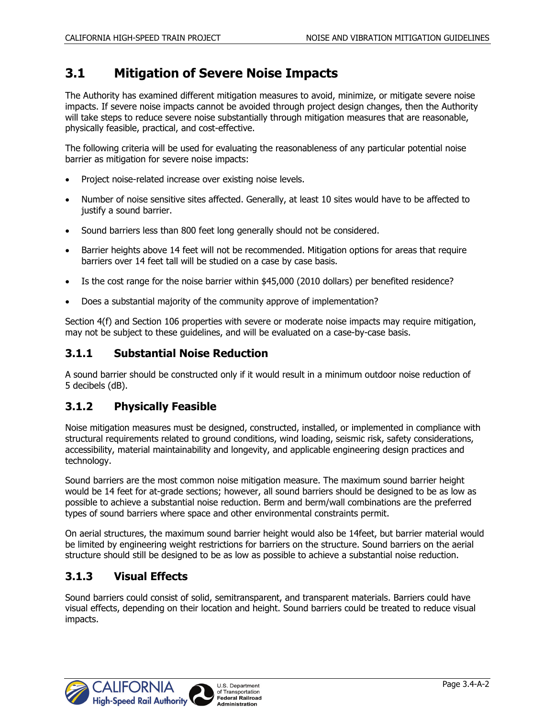### **3.1 Mitigation of Severe Noise Impacts**

The Authority has examined different mitigation measures to avoid, minimize, or mitigate severe noise impacts. If severe noise impacts cannot be avoided through project design changes, then the Authority will take steps to reduce severe noise substantially through mitigation measures that are reasonable, physically feasible, practical, and cost-effective.

The following criteria will be used for evaluating the reasonableness of any particular potential noise barrier as mitigation for severe noise impacts:

- Project noise-related increase over existing noise levels.
- Number of noise sensitive sites affected. Generally, at least 10 sites would have to be affected to justify a sound barrier.
- Sound barriers less than 800 feet long generally should not be considered.
- Barrier heights above 14 feet will not be recommended. Mitigation options for areas that require barriers over 14 feet tall will be studied on a case by case basis.
- Is the cost range for the noise barrier within \$45,000 (2010 dollars) per benefited residence?
- Does a substantial majority of the community approve of implementation?

Section 4(f) and Section 106 properties with severe or moderate noise impacts may require mitigation, may not be subject to these guidelines, and will be evaluated on a case-by-case basis.

#### **3.1.1 Substantial Noise Reduction**

A sound barrier should be constructed only if it would result in a minimum outdoor noise reduction of 5 decibels (dB).

#### **3.1.2 Physically Feasible**

Noise mitigation measures must be designed, constructed, installed, or implemented in compliance with structural requirements related to ground conditions, wind loading, seismic risk, safety considerations, accessibility, material maintainability and longevity, and applicable engineering design practices and technology.

Sound barriers are the most common noise mitigation measure. The maximum sound barrier height would be 14 feet for at-grade sections; however, all sound barriers should be designed to be as low as possible to achieve a substantial noise reduction. Berm and berm/wall combinations are the preferred types of sound barriers where space and other environmental constraints permit.

On aerial structures, the maximum sound barrier height would also be 14feet, but barrier material would be limited by engineering weight restrictions for barriers on the structure. Sound barriers on the aerial structure should still be designed to be as low as possible to achieve a substantial noise reduction.

#### **3.1.3 Visual Effects**

Sound barriers could consist of solid, semitransparent, and transparent materials. Barriers could have visual effects, depending on their location and height. Sound barriers could be treated to reduce visual impacts.

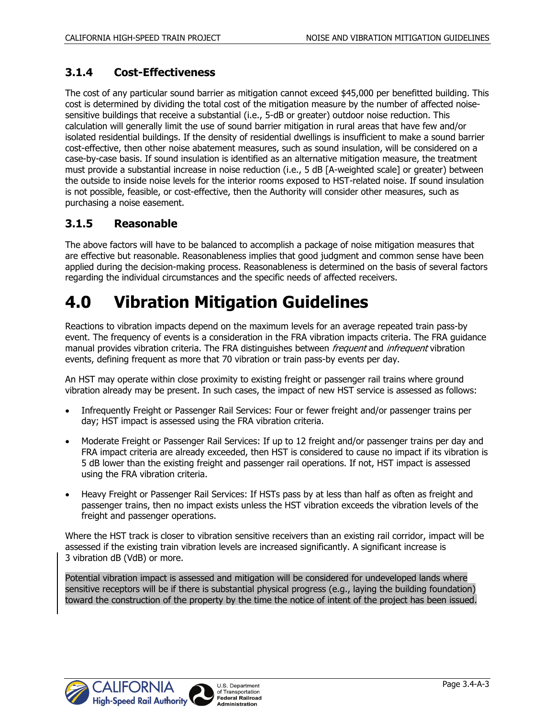#### **3.1.4 Cost-Effectiveness**

The cost of any particular sound barrier as mitigation cannot exceed \$45,000 per benefitted building. This cost is determined by dividing the total cost of the mitigation measure by the number of affected noisesensitive buildings that receive a substantial (i.e., 5-dB or greater) outdoor noise reduction. This calculation will generally limit the use of sound barrier mitigation in rural areas that have few and/or isolated residential buildings. If the density of residential dwellings is insufficient to make a sound barrier cost-effective, then other noise abatement measures, such as sound insulation, will be considered on a case-by-case basis. If sound insulation is identified as an alternative mitigation measure, the treatment must provide a substantial increase in noise reduction (i.e., 5 dB [A-weighted scale] or greater) between the outside to inside noise levels for the interior rooms exposed to HST-related noise. If sound insulation is not possible, feasible, or cost-effective, then the Authority will consider other measures, such as purchasing a noise easement.

#### **3.1.5 Reasonable**

The above factors will have to be balanced to accomplish a package of noise mitigation measures that are effective but reasonable. Reasonableness implies that good judgment and common sense have been applied during the decision-making process. Reasonableness is determined on the basis of several factors regarding the individual circumstances and the specific needs of affected receivers.

## **4.0 Vibration Mitigation Guidelines**

Reactions to vibration impacts depend on the maximum levels for an average repeated train pass-by event. The frequency of events is a consideration in the FRA vibration impacts criteria. The FRA guidance manual provides vibration criteria. The FRA distinguishes between frequent and infrequent vibration events, defining frequent as more that 70 vibration or train pass-by events per day.

An HST may operate within close proximity to existing freight or passenger rail trains where ground vibration already may be present. In such cases, the impact of new HST service is assessed as follows:

- Infrequently Freight or Passenger Rail Services: Four or fewer freight and/or passenger trains per day; HST impact is assessed using the FRA vibration criteria.
- Moderate Freight or Passenger Rail Services: If up to 12 freight and/or passenger trains per day and FRA impact criteria are already exceeded, then HST is considered to cause no impact if its vibration is 5 dB lower than the existing freight and passenger rail operations. If not, HST impact is assessed using the FRA vibration criteria.
- Heavy Freight or Passenger Rail Services: If HSTs pass by at less than half as often as freight and passenger trains, then no impact exists unless the HST vibration exceeds the vibration levels of the freight and passenger operations.

Where the HST track is closer to vibration sensitive receivers than an existing rail corridor, impact will be assessed if the existing train vibration levels are increased significantly. A significant increase is 3 vibration dB (VdB) or more.

Potential vibration impact is assessed and mitigation will be considered for undeveloped lands where sensitive receptors will be if there is substantial physical progress (e.g., laying the building foundation) toward the construction of the property by the time the notice of intent of the project has been issued.